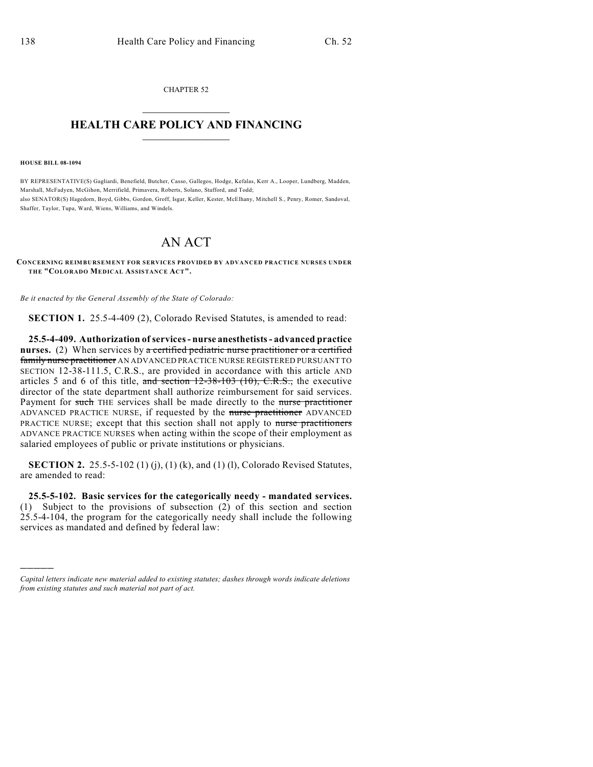CHAPTER 52  $\overline{\phantom{a}}$  . The set of the set of the set of the set of the set of the set of the set of the set of the set of the set of the set of the set of the set of the set of the set of the set of the set of the set of the set o

## **HEALTH CARE POLICY AND FINANCING**  $\_$   $\_$   $\_$   $\_$   $\_$   $\_$   $\_$   $\_$

**HOUSE BILL 08-1094**

)))))

BY REPRESENTATIVE(S) Gagliardi, Benefield, Butcher, Casso, Gallegos, Hodge, Kefalas, Kerr A., Looper, Lundberg, Madden, Marshall, McFadyen, McGihon, Merrifield, Primavera, Roberts, Solano, Stafford, and Todd; also SENATOR(S) Hagedorn, Boyd, Gibbs, Gordon, Groff, Isgar, Keller, Kester, McElhany, Mitchell S., Penry, Romer, Sandoval, Shaffer, Taylor, Tupa, Ward, Wiens, Williams, and Windels.

## AN ACT

**CONCERNING REIMBURSEMENT FOR SERVICES PROVIDED BY ADVANCED PRACTICE NURSES UNDER THE "COLORADO MEDICAL ASSISTANCE ACT".**

*Be it enacted by the General Assembly of the State of Colorado:*

**SECTION 1.** 25.5-4-409 (2), Colorado Revised Statutes, is amended to read:

**25.5-4-409. Authorization of services - nurse anesthetists - advanced practice nurses.** (2) When services by a certified pediatric nurse practitioner or a certified family nurse practitioner AN ADVANCED PRACTICE NURSE REGISTERED PURSUANT TO SECTION 12-38-111.5, C.R.S., are provided in accordance with this article AND articles 5 and 6 of this title, and section  $12-38-103$  (10), C.R.S., the executive director of the state department shall authorize reimbursement for said services. Payment for such THE services shall be made directly to the nurse practitioner ADVANCED PRACTICE NURSE, if requested by the nurse practitioner ADVANCED PRACTICE NURSE; except that this section shall not apply to nurse practitioners ADVANCE PRACTICE NURSES when acting within the scope of their employment as salaried employees of public or private institutions or physicians.

**SECTION 2.** 25.5-5-102 (1) (j), (1) (k), and (1) (l), Colorado Revised Statutes, are amended to read:

**25.5-5-102. Basic services for the categorically needy - mandated services.** (1) Subject to the provisions of subsection (2) of this section and section 25.5-4-104, the program for the categorically needy shall include the following services as mandated and defined by federal law:

*Capital letters indicate new material added to existing statutes; dashes through words indicate deletions from existing statutes and such material not part of act.*